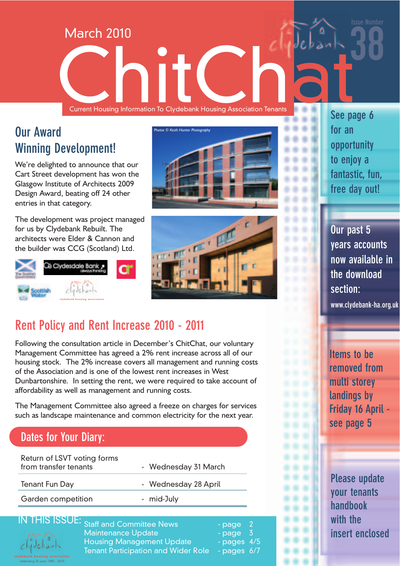Current Housing Information To Clydebank Housing Association Tenants Current Housing Information To Clydebank Housing Association Tenants

## **Our Award Winning Development!**

We're delighted to announce that our Cart Street development has won the Glasgow Institute of Architects 2009 Design Award, beating off 24 other entries in that category.

March 2010

The development was project managed for us by Clydebank Rebuilt. The architects were Elder & Cannon and the builder was CCG (Scotland) Ltd.







**Rent Policy and Rent Increase 2010 - 2011**

Following the consultation article in December's ChitChat, our voluntary Management Committee has agreed a 2% rent increase across all of our housing stock. The 2% increase covers all management and running costs of the Association and is one of the lowest rent increases in West Dunbartonshire. In setting the rent, we were required to take account of affordability as well as management and running costs.

The Management Committee also agreed a freeze on charges for services such as landscape maintenance and common electricity for the next year.

#### **Dates for Your Diary:**

| - Wednesday 31 March |
|----------------------|
| - Wednesday 28 April |
| - mid-July           |
|                      |



HIS ISSUE: <sub>Staff and Committee News</sub> - page 2 Maintenance Update - page 3 Housing Management Update - pages 4/5 Tenant Participation and Wider Role - pages 6/7

**See page 6 for an opportunity to enjoy a fantastic, fun, free day out!**

38

**Issue Number**

**Our past 5 years accounts now available in the download section:**

**www.clydebank-ha.org.uk**

**Items to be removed from multi storey landings by Friday 16 April see page 5**

**Please update your tenants handbook with the insert enclosed**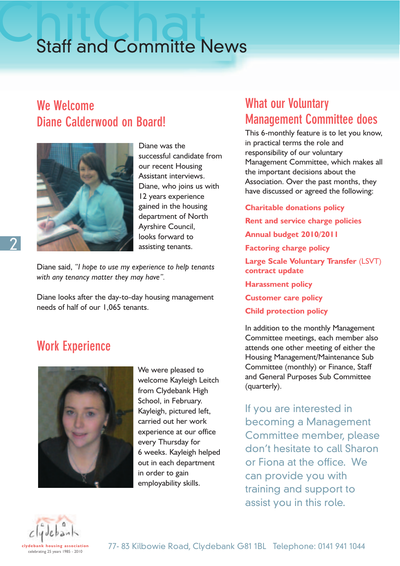# **Staff and Committe News**

#### **We Welcome Diane Calderwood on Board!**



Diane was the successful candidate from our recent Housing Assistant interviews. Diane, who joins us with 12 years experience gained in the housing department of North Ayrshire Council, looks forward to assisting tenants.

Diane said, *"I hope to use my experience to help tenants with any tenancy matter they may have".*

Diane looks after the day-to-day housing management needs of half of our 1,065 tenants.

#### **Work Experience**



We were pleased to welcome Kayleigh Leitch from Clydebank High School, in February. Kayleigh, pictured left, carried out her work experience at our office every Thursday for 6 weeks. Kayleigh helped out in each department in order to gain employability skills.

#### **What our Voluntary Management Committee does**

This 6-monthly feature is to let you know, in practical terms the role and responsibility of our voluntary Management Committee, which makes all the important decisions about the Association. Over the past months, they have discussed or agreed the following:

**Charitable donations policy Rent and service charge policies Annual budget 2010/2011 Factoring charge policy Large Scale Voluntary Transfer** (LSVT) **contract update Harassment policy Customer care policy Child protection policy**

In addition to the monthly Management Committee meetings, each member also attends one other meeting of either the Housing Management/Maintenance Sub Committee (monthly) or Finance, Staff and General Purposes Sub Committee (quarterly).

If you are interested in becoming a Management Committee member, please don't hesitate to call Sharon or Fiona at the office. We can provide you with training and support to assist you in this role.

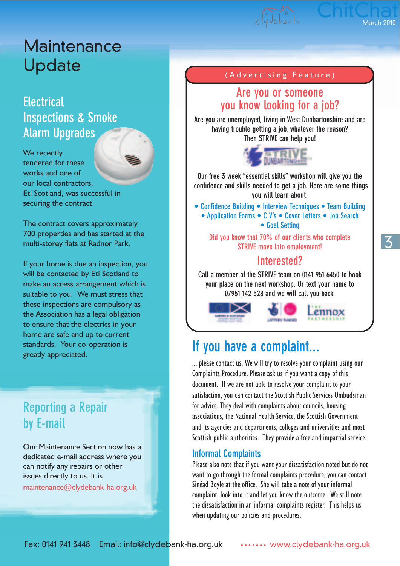# **Maintenance** Update

#### **Electrical Inspections & Smoke Alarm Upgrades**

We recently tendered for these works and one of our local contractors, Eti Scotland, was successful in securing the contract.

The contract covers approximately 700 properties and has started at the multi-storey flats at Radnor Park.

If your home is due an inspection, you will be contacted by Eti Scotland to make an access arrangement which is suitable to you. We must stress that these inspections are compulsory as the Association has a legal obligation to ensure that the electrics in your home are safe and up to current standards. Your co-operation is greatly appreciated.

## **Reporting a Repair by E-mail**

Our Maintenance Section now has a dedicated e-mail address where you can notify any repairs or other issues directly to us. It is maintenance@clydebank-ha.org.uk

#### (Advertising Feature)

#### **Are you or someone you know looking for a job?**

**Are you are unemployed, living in West Dunbartonshire and are having trouble getting a job, whatever the reason? Then STRIVE can help you!** 



**Our free 3 week "essential skills" workshop will give you the confidence and skills needed to get a job. Here are some things you will learn about:**

**• Confidence Building • Interview Techniques • Team Building • Application Forms • C.V's • Cover Letters • Job Search • Goal Setting**

**Did you know that 70% of our clients who complete STRIVE move into employment!**

#### **Interested?**

**Call a member of the STRIVE team on 0141 951 6450 to book your place on the next workshop. Or text your name to 07951 142 528 and we will call you back.**



#### **If you have a complaint...**

... please contact us. We will try to resolve your complaint using our Complaints Procedure. Please ask us if you want a copy of this document. If we are not able to resolve your complaint to your satisfaction, you can contact the Scottish Public Services Ombudsman for advice. They deal with complaints about councils, housing associations, the National Health Service, the Scottish Government and its agencies and departments, colleges and universities and most Scottish public authorities. They provide a free and impartial service.

#### **Informal Complaints**

Please also note that if you want your dissatisfaction noted but do not want to go through the formal complaints procedure, you can contact Sinéad Boyle at the office. She will take a note of your informal complaint, look into it and let you know the outcome. We still note the dissatisfaction in an informal complaints register. This helps us when updating our policies and procedures.

3

ChitChat

March 2010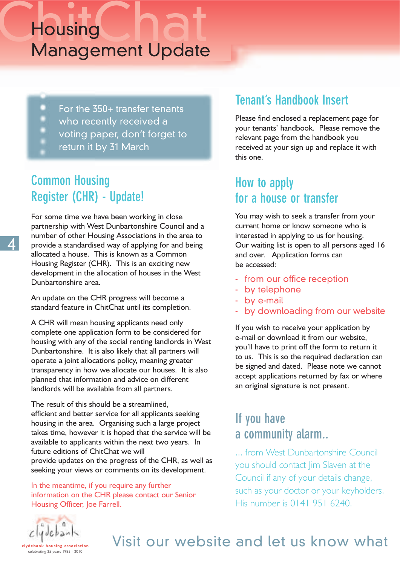# Chousing<br>Management Undate Management Update

- ۰ For the 350+ transfer tenants
- who recently received a
- voting paper, don't forget to
- return it by 31 March

## **Common Housing Register (CHR) - Update!**

For some time we have been working in close partnership with West Dunbartonshire Council and a number of other Housing Associations in the area to provide a standardised way of applying for and being allocated a house. This is known as a Common Housing Register (CHR). This is an exciting new development in the allocation of houses in the West Dunbartonshire area.

An update on the CHR progress will become a standard feature in ChitChat until its completion.

A CHR will mean housing applicants need only complete one application form to be considered for housing with any of the social renting landlords in West Dunbartonshire. It is also likely that all partners will operate a joint allocations policy, meaning greater transparency in how we allocate our houses. It is also planned that information and advice on different landlords will be available from all partners.

The result of this should be a streamlined, efficient and better service for all applicants seeking housing in the area. Organising such a large project takes time, however it is hoped that the service will be available to applicants within the next two years. In future editions of ChitChat we will provide updates on the progress of the CHR, as well as seeking your views or comments on its development.

In the meantime, if you require any further information on the CHR please contact our Senior Housing Officer, Joe Farrell.

#### **Tenant's Handbook Insert**

Please find enclosed a replacement page for your tenants' handbook. Please remove the relevant page from the handbook you received at your sign up and replace it with this one.

#### **How to apply for a house or transfer**

You may wish to seek a transfer from your current home or know someone who is interested in applying to us for housing. Our waiting list is open to all persons aged 16 and over. Application forms can be accessed:

- from our office reception
- by telephone
- by e-mail
- by downloading from our website

If you wish to receive your application by e-mail or download it from our website, you'll have to print off the form to return it to us. This is so the required declaration can be signed and dated. Please note we cannot accept applications returned by fax or where an original signature is not present.

#### **If you have a community alarm..**

... from West Dunbartonshire Council you should contact Jim Slaven at the Council if any of your details change, such as your doctor or your keyholders. His number is 0141 951 6240.



celebrating 25 years 1985 - 2010

# Visit our website and let us know what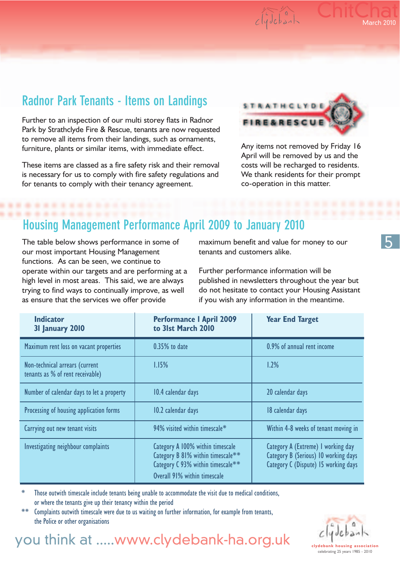## **Radnor Park Tenants - Items on Landings**

Further to an inspection of our multi storey flats in Radnor Park by Strathclyde Fire & Rescue, tenants are now requested to remove all items from their landings, such as ornaments, furniture, plants or similar items, with immediate effect.

These items are classed as a fire safety risk and their removal is necessary for us to comply with fire safety regulations and for tenants to comply with their tenancy agreement.



 $clycbah$ 

**ChitChat** 

March 2010

Any items not removed by Friday 16 April will be removed by us and the costs will be recharged to residents. We thank residents for their prompt co-operation in this matter.

#### **Housing Management Performance April 2009 to January 2010**

The table below shows performance in some of our most important Housing Management functions. As can be seen, we continue to operate within our targets and are performing at a high level in most areas. This said, we are always trying to find ways to continually improve, as well as ensure that the services we offer provide

maximum benefit and value for money to our tenants and customers alike.

Further performance information will be published in newsletters throughout the year but do not hesitate to contact your Housing Assistant if you wish any information in the meantime.

| <b>Indicator</b><br>31 January 2010                                | <b>Performance I April 2009</b><br>to 31st March 2010                                                                                      | <b>Year End Target</b>                                                                                             |
|--------------------------------------------------------------------|--------------------------------------------------------------------------------------------------------------------------------------------|--------------------------------------------------------------------------------------------------------------------|
| Maximum rent loss on vacant properties                             | $0.35%$ to date                                                                                                                            | 0.9% of annual rent income                                                                                         |
| Non-technical arrears (current<br>tenants as % of rent receivable) | 1.15%                                                                                                                                      | 1.2%                                                                                                               |
| Number of calendar days to let a property                          | 10.4 calendar days                                                                                                                         | 20 calendar days                                                                                                   |
| Processing of housing application forms                            | 10.2 calendar days                                                                                                                         | 18 calendar days                                                                                                   |
| Carrying out new tenant visits                                     | 94% visited within timescale*                                                                                                              | Within 4-8 weeks of tenant moving in                                                                               |
| Investigating neighbour complaints                                 | Category A 100% within timescale<br>Category B 81% within timescale**<br>Category C 93% within timescale**<br>Overall 91% within timescale | Category A (Extreme) I working day<br>Category B (Serious) 10 working days<br>Category C (Dispute) 15 working days |

Those outwith timescale include tenants being unable to accommodate the visit due to medical conditions, or where the tenants give up their tenancy within the period

Complaints outwith timescale were due to us waiting on further information, for example from tenants, the Police or other organisations



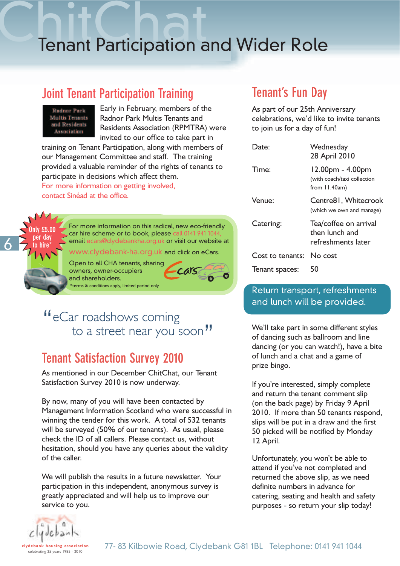# **Tenant Participation and Wider Role**

#### **Joint Tenant Participation Training**



Early in February, members of the Radnor Park Multis Tenants and Residents Association (RPMTRA) were invited to our office to take part in

training on Tenant Participation, along with members of our Management Committee and staff. The training provided a valuable reminder of the rights of tenants to participate in decisions which affect them. For more information on getting involved, contact Sinéad at the office.



For more information on this radical, new eco-friendly car hire scheme or to book, please email ecars@clydebankha.org.uk or visit our website at

Cars

ww.clydebank-ha.org.uk and click on eCars.

Open to all CHA tenants, sharing owners, owner-occupiers and shareholders.



#### "<sup>If</sup> eCar roadshows coming to a street near you soon"

#### **Tenant Satisfaction Survey 2010**

As mentioned in our December ChitChat, our Tenant Satisfaction Survey 2010 is now underway.

By now, many of you will have been contacted by Management Information Scotland who were successful in winning the tender for this work. A total of 532 tenants will be surveyed (50% of our tenants). As usual, please check the ID of all callers. Please contact us, without hesitation, should you have any queries about the validity of the caller.

We will publish the results in a future newsletter. Your participation in this independent, anonymous survey is greatly appreciated and will help us to improve our service to you.

#### **Tenant's Fun Day**

As part of our 25th Anniversary celebrations, we'd like to invite tenants to join us for a day of fun!

| )ate:            | Wednesday<br>28 April 2010                                          |
|------------------|---------------------------------------------------------------------|
| Time:            | 12.00pm - 4.00pm<br>(with coach/taxi collection<br>from $11.40am$ ) |
| Venue:           | Centre81, Whitecrook<br>(which we own and manage)                   |
| Catering:        | Tea/coffee on arrival<br>then lunch and<br>refreshments later       |
| Cost to tenants: | No cost                                                             |
| Tenant spaces:   | 50                                                                  |

#### Return transport, refreshments and lunch will be provided.

We'll take part in some different styles of dancing such as ballroom and line dancing (or you can watch!), have a bite of lunch and a chat and a game of prize bingo.

If you're interested, simply complete and return the tenant comment slip (on the back page) by Friday 9 April 2010. If more than 50 tenants respond, slips will be put in a draw and the first 50 picked will be notified by Monday 12 April.

Unfortunately, you won't be able to attend if you've not completed and returned the above slip, as we need definite numbers in advance for catering, seating and health and safety purposes - so return your slip today!

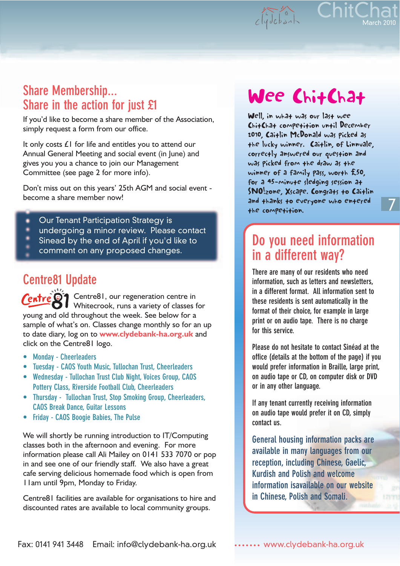ChitChat  $c\sqrt{abc}$ 

March 2010

7

#### **Share Membership... Share in the action for just £1**

If you'd like to become a share member of the Association, simply request a form from our office.

It only costs £1 for life and entitles you to attend our Annual General Meeting and social event (in June) and gives you you a chance to join our Management Committee (see page 2 for more info).

Don't miss out on this years' 25th AGM and social event become a share member now!

- Our Tenant Participation Strategy is
- undergoing a minor review. Please contact
- Sinead by the end of April if you'd like to
- comment on any proposed changes.

#### **Centre81 Update**

Centre81, our regeneration centre in Whitecrook, runs a variety of classes for young and old throughout the week. See below for a sample of what's on. Classes change monthly so for an up to date diary, log on to **www.clydebank-ha.org.uk** and click on the Centre81 logo.

- **Monday Cheerleaders**
- **Tuesday CAOS Youth Music, Tullochan Trust, Cheerleaders**
- **Wednesday Tullochan Trust Club Night, Voices Group, CAOS Pottery Class, Riverside Football Club, Cheerleaders**
- **Thursday Tullochan Trust, Stop Smoking Group, Cheerleaders, CAOS Break Dance, Guitar Lessons**
- **Friday CAOS Boogie Babies, The Pulse**

We will shortly be running introduction to IT/Computing classes both in the afternoon and evening. For more information please call Ali Mailey on 0141 533 7070 or pop in and see one of our friendly staff. We also have a great cafe serving delicious homemade food which is open from 11am until 9pm, Monday to Friday.

Centre81 facilities are available for organisations to hire and discounted rates are available to local community groups.

# Wee ChitChat

Well, in what was our last wee ChitChat competition until December 2010, Caitlin McDonald was picked as the lucky winner. Caitlin, of Linnvale, correctly answered our question and was picked from the draw as the winner of a family pass, worth £50, for a 45-minute sledging session at SNO!zone, Xscape. Congrats to Caitlin and thanks to everyone who entered the competition.

#### **Do you need information in a different way?**

**There are many of our residents who need information, such as letters and newsletters, in a different format. All information sent to these residents is sent automatically in the format of their choice, for example in large print or on audio tape. There is no charge for this service.**

**Please do not hesitate to contact Sinéad at the office (details at the bottom of the page) if you would prefer information in Braille, large print, on audio tape or CD, on computer disk or DVD or in any other language.**

**If any tenant currently receiving information on audio tape would prefer it on CD, simply contact us.**

**General housing information packs are available in many languages from our reception, including Chinese, Gaelic, Kurdish and Polish and welcome information isavailable on our website in Chinese, Polish and Somali.**